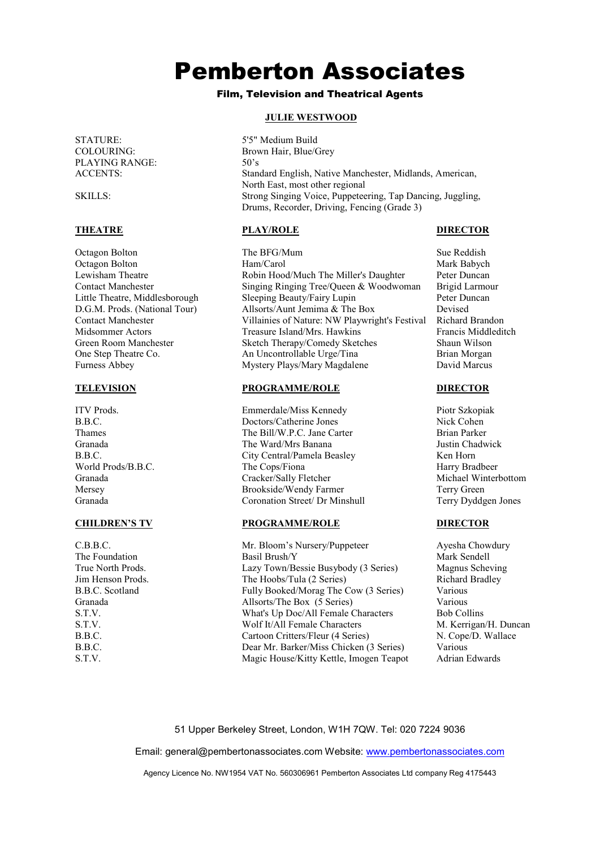STATURE: 5'5" Medium Build<br>COLOURING: Brown Hair Blue/C PLAYING RANGE:<br>ACCENTS

Little Theatre, Middlesborough

The Foundation

# Pemberton Associates

## Film, Television and Theatrical Agents

### **JULIE WESTWOOD**

Brown Hair, Blue/Grey<br>50's Standard English, Native Manchester, Midlands, American, North East, most other regional SKILLS: Strong Singing Voice, Puppeteering, Tap Dancing, Juggling, Drums, Recorder, Driving, Fencing (Grade 3)

## **THEATRE PLAY/ROLE DIRECTOR**

Octagon Bolton **The BFG/Mum** Sue Reddish Sue Reddish Octagon Bolton **Ham/Carol** Mark Babych Mark Babych Lewisham Theatre Robin Hood/Much The Miller's Daughter Peter Duncan Contact Manchester Singing Ringing Tree/Queen & Woodwoman Brigid Larmour<br>
Little Theatre, Middlesborough Sleeping Beauty/Fairy Lupin Peter Duncan D.G.M. Prods. (National Tour) Allsorts/Aunt Jemima & The Box Devised Villainies of Nature: NW Playwright's Festival Richard Brandon<br>Treasure Island/Mrs Hawkins Francis Middleditch Midsommer Actors Treasure Island/Mrs. Hawkins Francis Middle<br>Green Room Manchester Sketch Therapy/Comedy Sketches Shaun Wilson Green Room Manchester Sketch Therapy/Comedy Sketches<br>
One Step Theatre Co. An Uncontrollable Urge/Tina One Step Theatre Co. An Uncontrollable Urge/Tina Brian Morgan Furness Abbev Mystery Plays/Mary Magdalene David Marcu Mystery Plays/Mary Magdalene

### **TELEVISION PROGRAMME/ROLE DIRECTOR**

ITV Prods. Emmerdale/Miss Kennedy Piotr Szkopiak B.B.C. Doctors/Catherine Jones Thames The Bill/W.P.C. Jane Carter Brian Parker Granada The Ward/Mrs Banana Tustin Chadwick B.B.C. City Central/Pamela Beasley Ken Horn World Prods/B.B.C. The Cops/Fiona Harry Bradbeer Harry Bradbeer Granada Cracker/Sally Fletcher Michael Winterbottom Mersey Brookside/Wendy Farmer Terry Green<br>
Granada Coronation Street/ Dr Minshull Terry Dyddgen Jones Coronation Street/ Dr Minshull

## **CHILDREN'S TV PROGRAMME/ROLE DIRECTOR**

C.B.B.C. Mr. Bloom's Nursery/Puppeteer Ayesha Chowdury True North Prods. Lazy Town/Bessie Busybody (3 Series) Magnus Scheving Jim Henson Prods. The Hoobs/Tula (2 Series) Richard Bradley B.B.C. Scotland Fully Booked/Morag The Cow (3 Series) Various Granada **Allsorts/The Box (5 Series)** Various S.T.V. S.T.V. What's Up Doc/All Female Characters Bob Collins<br>S.T.V. Wolf It/All Female Characters M. Kerrigan/H. Duncan  $S. T. V.$  Wolf It/All Female Characters B.B.C. Cartoon Critters/Fleur (4 Series) N. Cope/D. Wallace B.B.C. Dear Mr. Barker/Miss Chicken (3 Series) Various<br>S.T.V. Magic House/Kitty Kettle. Imogen Teapot Adrian Edwards S.T.V. Magic House/Kitty Kettle, Imogen Teapot

51 Upper Berkeley Street, London, W1H 7QW. Tel: 020 7224 9036

Email: general@pembertonassociates.com Website: www.pembertonassociates.com

Agency Licence No. NW1954 VAT No. 560306961 Pemberton Associates Ltd company Reg 4175443